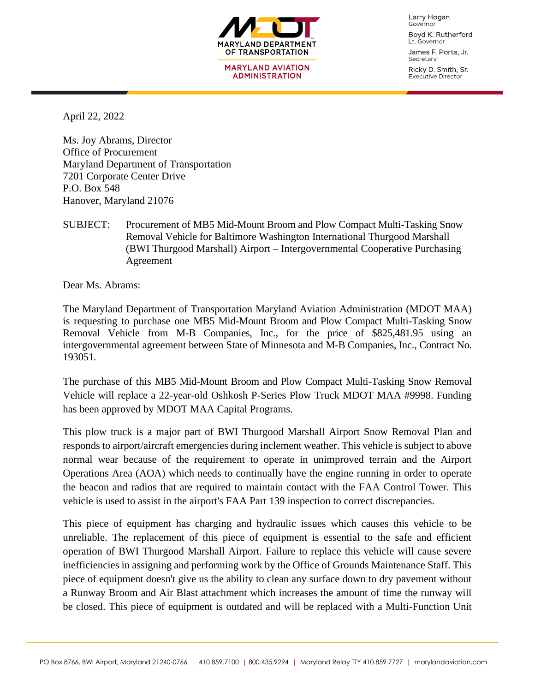

Larry Hogan Governor Boyd K. Rutherford

Lt. Governor James F. Ports, Jr.

Secretary Ricky D. Smith, Sr. Executive Director

April 22, 2022

Ms. Joy Abrams, Director Office of Procurement Maryland Department of Transportation 7201 Corporate Center Drive P.O. Box 548 Hanover, Maryland 21076

SUBJECT: Procurement of MB5 Mid-Mount Broom and Plow Compact Multi-Tasking Snow Removal Vehicle for Baltimore Washington International Thurgood Marshall (BWI Thurgood Marshall) Airport – Intergovernmental Cooperative Purchasing Agreement

Dear Ms. Abrams:

The Maryland Department of Transportation Maryland Aviation Administration (MDOT MAA) is requesting to purchase one MB5 Mid-Mount Broom and Plow Compact Multi-Tasking Snow Removal Vehicle from M-B Companies, Inc., for the price of \$825,481.95 using an intergovernmental agreement between State of Minnesota and M-B Companies, Inc., Contract No. 193051.

The purchase of this MB5 Mid-Mount Broom and Plow Compact Multi-Tasking Snow Removal Vehicle will replace a 22-year-old Oshkosh P-Series Plow Truck MDOT MAA #9998. Funding has been approved by MDOT MAA Capital Programs.

This plow truck is a major part of BWI Thurgood Marshall Airport Snow Removal Plan and responds to airport/aircraft emergencies during inclement weather. This vehicle is subject to above normal wear because of the requirement to operate in unimproved terrain and the Airport Operations Area (AOA) which needs to continually have the engine running in order to operate the beacon and radios that are required to maintain contact with the FAA Control Tower. This vehicle is used to assist in the airport's FAA Part 139 inspection to correct discrepancies.

This piece of equipment has charging and hydraulic issues which causes this vehicle to be unreliable. The replacement of this piece of equipment is essential to the safe and efficient operation of BWI Thurgood Marshall Airport. Failure to replace this vehicle will cause severe inefficiencies in assigning and performing work by the Office of Grounds Maintenance Staff. This piece of equipment doesn't give us the ability to clean any surface down to dry pavement without a Runway Broom and Air Blast attachment which increases the amount of time the runway will be closed. This piece of equipment is outdated and will be replaced with a Multi-Function Unit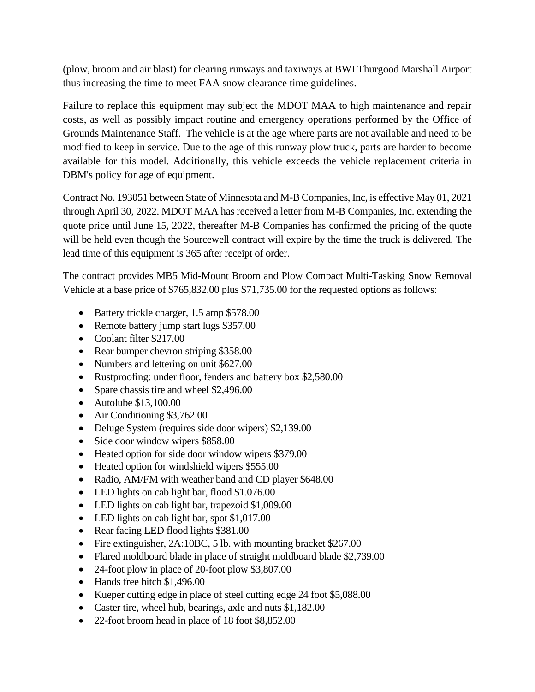(plow, broom and air blast) for clearing runways and taxiways at BWI Thurgood Marshall Airport thus increasing the time to meet FAA snow clearance time guidelines.

Failure to replace this equipment may subject the MDOT MAA to high maintenance and repair costs, as well as possibly impact routine and emergency operations performed by the Office of Grounds Maintenance Staff. The vehicle is at the age where parts are not available and need to be modified to keep in service. Due to the age of this runway plow truck, parts are harder to become available for this model. Additionally, this vehicle exceeds the vehicle replacement criteria in DBM's policy for age of equipment.

Contract No. 193051 between State of Minnesota and M-B Companies, Inc, is effective May 01, 2021 through April 30, 2022. MDOT MAA has received a letter from M-B Companies, Inc. extending the quote price until June 15, 2022, thereafter M-B Companies has confirmed the pricing of the quote will be held even though the Sourcewell contract will expire by the time the truck is delivered. The lead time of this equipment is 365 after receipt of order.

The contract provides MB5 Mid-Mount Broom and Plow Compact Multi-Tasking Snow Removal Vehicle at a base price of \$765,832.00 plus \$71,735.00 for the requested options as follows:

- Battery trickle charger, 1.5 amp \$578.00
- Remote battery jump start lugs \$357.00
- Coolant filter \$217.00
- Rear bumper chevron striping \$358.00
- Numbers and lettering on unit \$627.00
- Rustproofing: under floor, fenders and battery box \$2,580.00
- Spare chassis tire and wheel \$2,496.00
- Autolube \$13,100.00
- Air Conditioning \$3,762.00
- Deluge System (requires side door wipers) \$2,139.00
- Side door window wipers \$858.00
- Heated option for side door window wipers \$379.00
- Heated option for windshield wipers \$555.00
- Radio, AM/FM with weather band and CD player \$648.00
- LED lights on cab light bar, flood \$1.076.00
- LED lights on cab light bar, trapezoid \$1,009.00
- LED lights on cab light bar, spot \$1,017.00
- Rear facing LED flood lights \$381.00
- Fire extinguisher, 2A:10BC, 5 lb. with mounting bracket \$267.00
- Flared moldboard blade in place of straight moldboard blade \$2,739.00
- 24-foot plow in place of 20-foot plow \$3,807.00
- Hands free hitch \$1,496.00
- Kueper cutting edge in place of steel cutting edge 24 foot \$5,088.00
- Caster tire, wheel hub, bearings, axle and nuts \$1,182.00
- 22-foot broom head in place of 18 foot \$8,852.00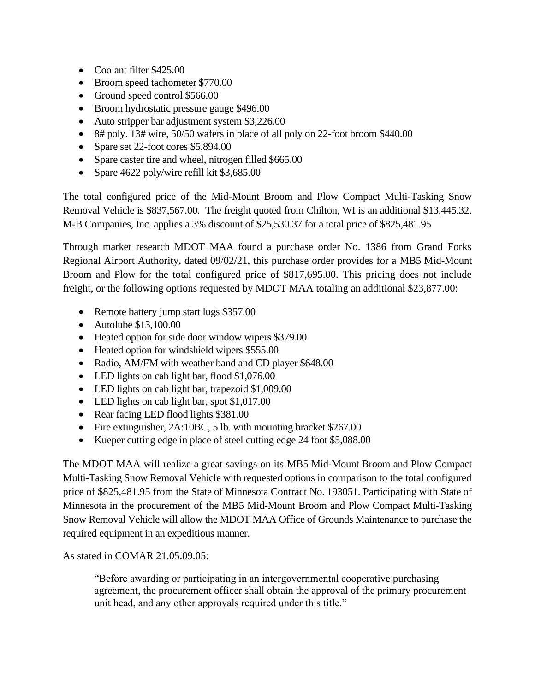- Coolant filter \$425.00
- Broom speed tachometer \$770.00
- Ground speed control \$566.00
- Broom hydrostatic pressure gauge \$496.00
- Auto stripper bar adjustment system \$3,226.00
- 8# poly. 13# wire, 50/50 wafers in place of all poly on 22-foot broom \$440.00
- Spare set 22-foot cores \$5,894.00
- Spare caster tire and wheel, nitrogen filled \$665.00
- Spare 4622 poly/wire refill kit \$3,685.00

The total configured price of the Mid-Mount Broom and Plow Compact Multi-Tasking Snow Removal Vehicle is \$837,567.00. The freight quoted from Chilton, WI is an additional \$13,445.32. M-B Companies, Inc. applies a 3% discount of \$25,530.37 for a total price of \$825,481.95

Through market research MDOT MAA found a purchase order No. 1386 from Grand Forks Regional Airport Authority, dated 09/02/21, this purchase order provides for a MB5 Mid-Mount Broom and Plow for the total configured price of \$817,695.00. This pricing does not include freight, or the following options requested by MDOT MAA totaling an additional \$23,877.00:

- Remote battery jump start lugs \$357.00
- Autolube \$13,100.00
- Heated option for side door window wipers \$379.00
- Heated option for windshield wipers \$555.00
- Radio, AM/FM with weather band and CD player \$648.00
- LED lights on cab light bar, flood \$1,076.00
- LED lights on cab light bar, trapezoid \$1,009.00
- LED lights on cab light bar, spot \$1,017.00
- Rear facing LED flood lights \$381.00
- Fire extinguisher, 2A:10BC, 5 lb. with mounting bracket \$267.00
- Kueper cutting edge in place of steel cutting edge 24 foot \$5,088.00

The MDOT MAA will realize a great savings on its MB5 Mid-Mount Broom and Plow Compact Multi-Tasking Snow Removal Vehicle with requested options in comparison to the total configured price of \$825,481.95 from the State of Minnesota Contract No. 193051. Participating with State of Minnesota in the procurement of the MB5 Mid-Mount Broom and Plow Compact Multi-Tasking Snow Removal Vehicle will allow the MDOT MAA Office of Grounds Maintenance to purchase the required equipment in an expeditious manner.

As stated in COMAR 21.05.09.05:

"Before awarding or participating in an intergovernmental cooperative purchasing agreement, the procurement officer shall obtain the approval of the primary procurement unit head, and any other approvals required under this title."